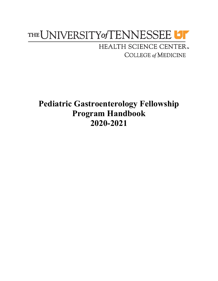# THE UNIVERSITY of TENNESSEE UT

HEALTH SCIENCE CENTER. **COLLEGE of MEDICINE** 

**Pediatric Gastroenterology Fellowship Program Handbook 2020-2021**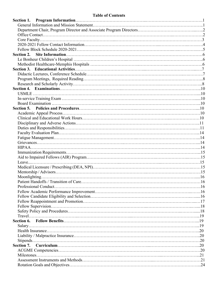# **Table of Contents**

| Section 2. |  |
|------------|--|
|            |  |
|            |  |
|            |  |
|            |  |
|            |  |
|            |  |
|            |  |
|            |  |
|            |  |
|            |  |
|            |  |
|            |  |
|            |  |
|            |  |
|            |  |
|            |  |
|            |  |
|            |  |
|            |  |
|            |  |
|            |  |
|            |  |
|            |  |
|            |  |
|            |  |
|            |  |
|            |  |
|            |  |
|            |  |
|            |  |
|            |  |
|            |  |
|            |  |
|            |  |
|            |  |
|            |  |
|            |  |
|            |  |
|            |  |
|            |  |
|            |  |
|            |  |
|            |  |
|            |  |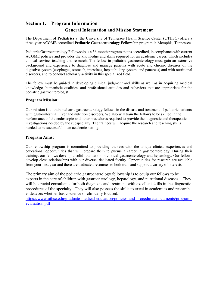# **Section 1. Program Information General Information and Mission Statement**

The Department of **Pediatrics** at the University of Tennessee Health Science Center (UTHSC) offers a three-year ACGME accredited **Pediatric Gastroenterology** Fellowship program in Memphis, Tennessee.

Pediatric Gastroenterology Fellowship is a 36-month program that is accredited, in compliance with current ACGME policies and provides the knowledge and skills required for an academic career, which includes clinical service, teaching and research. The fellow in pediatric gastroenterology must gain an extensive background and experience to diagnose and manage patients with acute and chronic diseases of the digestive system (esophagus, stomach, intestines, hepatobiliary system, and pancreas) and with nutritional disorders, and to conduct scholarly activity in this specialized field.

The fellow must be guided in developing clinical judgment and skills as well as in acquiring medical knowledge, humanistic qualities, and professional attitudes and behaviors that are appropriate for the pediatric gastroenterologist.

#### **Program Mission:**

Our mission is to train pediatric gastroenterology fellows in the disease and treatment of pediatric patients with gastrointestinal, liver and nutrition disorders. We also will train the fellows to be skilled in the performance of the endoscopic and other procedures required to provide the diagnostic and therapeutic investigations needed by the subspecialty. The trainees will acquire the research and teaching skills needed to be successful in an academic setting.

#### **Program Aims:**

Our fellowship program is committed to providing trainees with the unique clinical experiences and educational opportunities that will prepare them to pursue a career in gastroenterology. During their training, our fellows develop a solid foundation in clinical gastroenterology and hepatology. Our fellows develop close relationships with our diverse, dedicated faculty. Opportunities for research are available from your first year and there are dedicated resources to both train and support a variety of interests.

The primary aim of the pediatric gastroenterology fellowship is to equip our fellows to be experts in the care of children with gastroenterology, hepatology, and nutritional diseases. They will be crucial consultants for both diagnosis and treatment with excellent skills in the diagnostic procedures of the specialty. They will also possess the skills to excel in academics and research endeavors whether basic science or clinically focused.

https://www.uthsc.edu/graduate-medical-education/policies-and-procedures/documents/programevaluation.pdf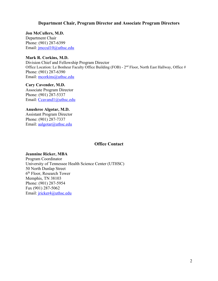#### **Department Chair, Program Director and Associate Program Directors**

**Jon McCullers, M.D.** Department Chair Phone: (901) 287-6399 Email: jmccul10@uthsc.edu

### **Mark R. Corkins, M.D.**

Division Chief and Fellowship Program Director Office Location: Le Bonheur Faculty Office Building (FOB) -  $2<sup>nd</sup>$  Floor, North East Hallway, Office # Phone: (901) 287-6390 Email: mcorkins@uthsc.edu

**Cary Cavender, M.D.** Associate Program Director Phone: (901) 287-5337 Email: Ccavand1@uthsc.edu

**Anushree Algotar, M.D.** Assistant Program Director Phone: (901) 287-7337 Email: aalgotar@uthsc.edu

#### **Office Contact**

#### **Jeannine Ricker, MBA**

Program Coordinator University of Tennessee Health Science Center (UTHSC) 50 North Dunlap Street 6th Floor, Research Tower Memphis, TN 38103 Phone: (901) 287-5954 Fax (901) 287-5062 Email: jricker4@uthsc.edu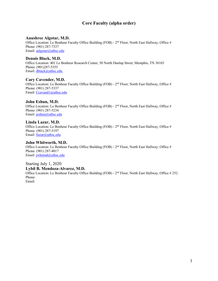# **Core Faculty (alpha order)**

#### **Anushree Algotar, M.D.**

Office Location: Le Bonheur Faculty Office Building (FOB) -  $2<sup>nd</sup>$  Floor, North East Hallway, Office # Phone: (901) 287-7337 Email: aalgotar@uthsc.edu

#### **Dennis Black, M.D.**

Office Location: 401 Le Bonheur Research Center, 50 North Dunlap Street, Memphis, TN 38103 Phone: (901)287-5355 Email: dblack@uthsc.edu

#### **Cary Cavender, M.D.**

Office Location: Le Bonheur Faculty Office Building (FOB) - 2<sup>nd</sup> Floor, North East Hallway, Office # Phone: (901) 287-5337 Email: Ccavand1@uthsc.edu

#### **John Eshun, M.D.**

Office Location: Le Bonheur Faculty Office Building (FOB) -  $2<sup>nd</sup>$  Floor, North East Hallway, Office # Phone: (901) 287-5234 Email: jeshun@uthsc.edu

#### **Linda Lazar, M.D.**

Office Location: Le Bonheur Faculty Office Building (FOB) -  $2<sup>nd</sup>$  Floor, North East Hallway, Office # Phone: (901) 287-5197 Email: llazar@uthsc.edu

#### **John Whitworth, M.D.**

Office Location: Le Bonheur Faculty Office Building (FOB) - 2<sup>nd</sup> Floor, North East Hallway, Office # Phone: (901) 287-4017 Email: jwhitmd@uthsc.edu

Starting July 1, 2020:

**Lybil B. Mendoza-Alvarez, M.D.**

Office Location: Le Bonheur Faculty Office Building (FOB) - 2<sup>nd</sup> Floor, North East Hallway, Office # 252. Phone: Email: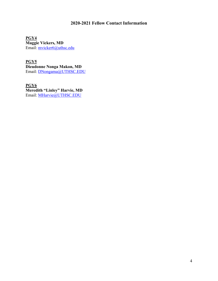# **2020-2021 Fellow Contact Information**

**PGY4 Maggie Vickers, MD** Email: mvicker6@uthsc.edu

**PGY5 Dieudonne Nonga Makon, MD** Email: DNongama@UTHSC.EDU

**PGY6 Meredith "Linley" Harvie, MD** Email: <u>MHarvie@UTHSC.EDU</u>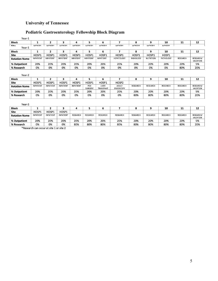# **University of Tennessee**

# **Pediatric Gastroenterology Fellowship Block Diagram**

| Year-1               |                     |                     |                  |                  |                       |                           |                                  |                     |                     |                  |                 |                                     |
|----------------------|---------------------|---------------------|------------------|------------------|-----------------------|---------------------------|----------------------------------|---------------------|---------------------|------------------|-----------------|-------------------------------------|
| <b>Block</b>         | 1                   | 2                   | 3                | 4                | 5                     | 6                         | 7                                | 8                   | 9                   | 10               | 11              | 12                                  |
| Cita<br>Year-1       | $H$ $O$ $S$ $D$ $1$ | $H$ $O$ $S$ $D$ $1$ | $H$ $O$ $CD1$    | $H$ $O$ $CD1$    | $H$ $O$ $S$ $D$ $1$   | $H$ $O$ $CD1$             | 10001                            | $H$ $O$ $S$ $D$ $1$ | $H$ $O$ $S$ $D$ $1$ | L <sub>0</sub>   |                 |                                     |
| <b>Block</b>         | 1                   | 2                   | 3                | 4                | 5                     | 6                         | 7                                | 8                   | 9                   | 10               | 11              | 12                                  |
| <b>Site</b>          | HOSP1               | HOSP1               | HOSP1            | HOSP1            | HOSP1                 | HOSP1                     | HOSP1                            | HOSP1               | HOSP1               | HOSP1            |                 |                                     |
| <b>Rotation Name</b> | <b>INPATIENT</b>    | <b>INPATIENT</b>    | <b>INPATIENT</b> | <b>INPATIENT</b> | <b>INPATIENT</b>      | <b>INPATIENT</b>          | <b>HEPATOLOGY</b>                | <b>RADIOLOGY</b>    | <b>NUTRITION</b>    | <b>PATHOLOGY</b> | <b>RESEARCH</b> | <b>RESEARCH/</b><br><b>VACATION</b> |
| % Outpatient         | 20%                 | 20%                 | 20%              | 20%              | 20%                   | 20%                       | 20%                              | 20%                 | 20%                 | 20%              | 20%             | 5%                                  |
| % Research           | 0%                  | 0%                  | 0%               | 0%               | 0%                    | 0%                        | 0%                               | 0%                  | 0%                  | 0%               | 80%             | 20%                                 |
| Year-2               |                     |                     |                  |                  |                       |                           |                                  |                     |                     |                  |                 |                                     |
| <b>Block</b>         | 1                   | 2                   | 3                | 4                | 5                     | 6                         | 7                                | 8                   | 9                   | 10               | 11              | 12                                  |
| <b>Site</b>          | HOSP1               | HOSP1               | HOSP1            | HOSP1            | HOSP1                 | HOSP1                     | HOSP2                            |                     |                     |                  |                 |                                     |
| <b>Rotation Name</b> | <b>INPATIENT</b>    | <b>INPATIENT</b>    | <b>INPATIENT</b> | <b>INPATIENT</b> | PED<br><b>SURGERY</b> | LIVER<br><b>TRANSPANT</b> | <b>ADULT</b><br><b>ENDOSCOPY</b> | <b>RESEARCH</b>     | <b>RESEARCH</b>     | <b>RESEARCH</b>  | <b>RESEARCH</b> | RESEARCH/<br><b>VACATION</b>        |
| % Outpatient         | 20%                 | 20%                 | 20%              | 20%              | 20%                   | 20%                       | 20%                              | 20%                 | 20%                 | 20%              | 20%             | 5%                                  |
| % Research           | 0%                  | 0%                  | 0%               | 0%               | 0%                    | 0%                        | 0%                               | 80%                 | 80%                 | 80%              | 80%             | 20%                                 |
| Year-3               |                     |                     |                  |                  |                       |                           |                                  |                     |                     |                  |                 |                                     |
| <b>Block</b>         | 1                   | 2                   | 3                | 4                | 5                     | 6                         | 7                                | 8                   | 9                   | 10               | 11              | 12                                  |
| <b>Site</b>          | HOSP1               | HOSP1               | HOSP1            |                  |                       |                           |                                  |                     |                     |                  |                 |                                     |
| <b>Rotation Name</b> | <b>INPATIENT</b>    | <b>INPATIENT</b>    | <b>INPATIENT</b> | <b>RESEARCH</b>  | <b>RESEARCH</b>       | <b>RESEARCH</b>           | <b>RESEARCH</b>                  | <b>RESEARCH</b>     | <b>RESEARCH</b>     | <b>RESEARCH</b>  | <b>RESEARCH</b> | <b>RESEARCH/</b><br><b>VACATION</b> |
| % Outpatient         | 20%                 | 20%                 | 20%              | 20%              | 20%                   | 20%                       | 20%                              | 20%                 | 20%                 | 20%              | 20%             | 5%                                  |
| % Research           | 0%                  | 0%                  | 0%               | 80%              | 80%                   | 80%                       | 80%                              | 80%                 | 80%                 | 80%              | 80%             | 20%                                 |

\*Research can occur at site 1 or site 2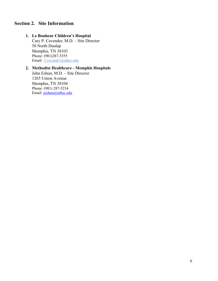# **Section 2. Site Information**

# **1. Le Bonheur Children's Hospital**

Cary P. Cavender, M.D. – Site Director 50 North Dunlap Memphis, TN 38103 Phone: (901)287-5355 Email: Ccavand1@uthsc.edu

# **2. Methodist Healthcare - Memphis Hospitals**

John Eshun, M.D. – Site Director 1265 Union Avenue Memphis, TN 38104 Phone: (901) 287-5234 Email: jeshun@uthsc.edu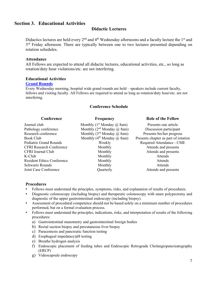# **Section 3. Educational Activities**

# **Didactic Lectures**

Didactics lectures are held every  $2<sup>nd</sup>$  and  $4<sup>th</sup>$  Wednesday afternoons and a faculty lecture the 1<sup>st</sup> and 3<sup>rd</sup> Friday afternoon. There are typically between one to two lectures presented depending on rotation schedules.

#### **Attendance**

All Fellows are expected to attend all didactic lectures, educational activities, etc., so long as rotation/duty hour violations/etc. are not interfering.

#### **Educational Activities**

#### **Grand Rounds**

Every Wednesday morning, hospital wide grand rounds are held – speakers include current faculty, fellows and visiting faculty. All Fellows are required to attend so long as rotation/duty hour/etc. are not interfering.

#### **Conference Schedule**

| Conference                        | <b>Frequency</b>                              | <b>Role of the Fellow</b>            |
|-----------------------------------|-----------------------------------------------|--------------------------------------|
| Journal club                      | Monthly $(1st Monday @ 8am)$                  | Presents one article                 |
| Pathology conference              | Monthly $(2^{nd}$ Monday $(a)$ 8am)           | Discussion participant               |
| Research conference               | Monthly $(3^{rd}$ Monday $\omega$ 8am)        | Presents his/her progress            |
| Book Club                         | Monthly (4 <sup>th</sup> Monday $\omega$ 8am) | Presents chapter as part of rotation |
| Pediatric Grand Rounds            | Weekly                                        | Required Attendance - CME            |
| <b>CFRI Research Conference</b>   | Monthly                                       | Attends and presents                 |
| CFRI Journal Club                 | Monthly                                       | Attends and presents                 |
| $K$ -Club                         | Monthly                                       | Attends                              |
| <b>Resident Ethics Conference</b> | Monthly                                       | Attends                              |
| <b>Schwartz Rounds</b>            | Monthly                                       | Attends                              |
| Joint Case Conference             | Quarterly                                     | Attends and presents                 |

#### **Procedures**

- Fellows must understand the principles, symptoms, risks, and explanation of results of procedures.
- Diagnostic colonoscopy (including biopsy) and therapeutic colonoscopy with snare polypectomy and diagnostic of the upper gastrointestinal endoscopy (including biopsy).
- Assessment of procedural competence should not be based solely on a minimum number of procedures performed, but on a formal evaluation process.
- Fellows must understand the principles, indications, risks, and interpretation of results of the following procedures:
	- a) Gastrointestinal manometry and gastrointestinal foreign bodies
	- b) Rectal suction biopsy and percutaneous liver biopsy
	- c) Paracentesis and pancreatic function testing
	- d) Esophageal impedance/pH testing
	- e) Breathe hydrogen analysis
	- f) Endoscopic placement of feeding tubes and Endoscopic Retrograde Cholangiopancreatography (ERCP)
	- g) Videocapsule endoscopy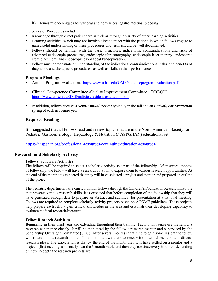h) Hemostatic techniques for variceal and nonvariceal gastrointestinal bleeding

Outcomes of Procedures include:

- Knowledge through direct patient care as well as through a variety of other learning activities.
- Learning activities, which may not involve direct contact with the patient, in which fellows engage to gain a solid understanding of these procedures and tests, should be well documented.
- Fellows should be familiar with the basic principles, indications, contraindications and risks of advanced endoscopic procedures, endoscopic ultrasonography, endoscopic laser therapy, endoscopic stent placement, and endoscopic esophageal fundoplication.
- Fellow must demonstrate an understanding of the indications, contraindications, risks, and benefits of diagnostic and therapeutic procedures, as well as skills in their performance.

#### **Program Meetings**

- Annual Program Evaluation: http://www.uthsc.edu/GME/policies/program-evaluation.pdf
- Clinical Competence Committee /Quality Improvement Committee –CCC/QIC: https://www.uthsc.edu/GME/policies/resident-evaluation.pdf
- In addition, fellows receive a *Semi-Annual Review* typically in the fall and an *End-of-year Evaluation* spring of each academic year.

#### **Required Reading**

It is suggested that all fellows read and review topics that are in the North American Society for Pediatric Gastroenterology, Hepatology & Nutrition (NASPGHAN) educational set.

https://naspghan.org/professional-resources/continuing-education-resources/

#### **Research and Scholarly Activity**

#### **Fellows' Scholarly Activities**

The fellows will be required to select a scholarly activity as a part of the fellowship. After several months of fellowship, the fellow will have a research rotation to expose them to various research opportunities. At the end of the month it is expected that they will have selected a project and mentor and prepared an outline of the project.

The pediatric department has a curriculum for fellows through the Children's Foundation Research Institute that presents various research skills. It is expected that before completion of the fellowship that they will have generated enough data to prepare an abstract and submit it for presentation at a national meeting. Fellows are required to complete scholarly activity projects based on ACGME guidelines. These projects help prepare each fellow gain critical knowledge in the area and establish their developing capability to evaluate medical research/literature.

#### **Fellow Research Activities**

**Beginning in their first year** and extending throughout their training: Faculty will supervise the fellow's research experience closely. It will be monitored by the fellow's research mentor and supervised by the Scholarship Oversight Committee (SOC). After several months in training to gain some insight the fellow will rotate onto a research month. This month allows them to meet with potential mentors and discuss research ideas. The expectation is that by the end of the month they will have settled on a mentor and a project. (first meeting is normally near the 6-month mark, and then they continue every 6 months depending on how in-depth the research projects are).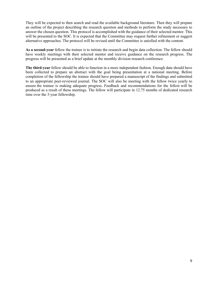They will be expected to then search and read the available background literature. Then they will prepare an outline of the project describing the research question and methods to perform the study necessary to answer the chosen question. This protocol is accomplished with the guidance of their selected mentor. This will be presented to the SOC. It is expected that the Committee may request further refinement or suggest alternative approaches. The protocol will be revised until the Committee is satisfied with the content.

**As a second-year** fellow the trainee is to initiate the research and begin data collection. The fellow should have weekly meetings with their selected mentor and receive guidance on the research progress. The progress will be presented as a brief update at the monthly division research conference.

**The third-year** fellow should be able to function in a more independent fashion. Enough data should have been collected to prepare an abstract with the goal being presentation at a national meeting. Before completion of the fellowship the trainee should have prepared a manuscript of the findings and submitted to an appropriate peer-reviewed journal. The SOC will also be meeting with the fellow twice yearly to ensure the trainee is making adequate progress. Feedback and recommendations for the fellow will be produced as a result of these meetings. The fellow will participate in 12.75 months of dedicated research time over the 3-year fellowship.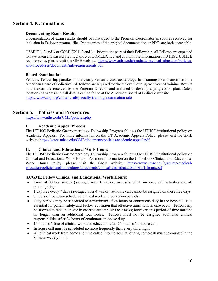# **Section 4. Examinations**

#### **Documenting Exam Results**

Documentation of exam results should be forwarded to the Program Coordinator as soon as received for inclusion in Fellow personnel file. Photocopies of the original documentation or PDFs are both acceptable.

USMLE 1, 2 and 3 or COMLEX 1, 2 and 3 – Prior to the start of their Fellowship, all Fellows are expected to have taken and passed Step 1, 2 and 3 or COMLEX 1, 2 and 3. For more information on UTHSC USMLE requirements, please visit the GME website: https://www.uthsc.edu/graduate-medical-education/policiesand-procedures/documents/mle-requirements.pdf

#### **Board Examination**

Pediatric Fellowship partakes in the yearly Pediatric Gastroenterology In -Training Examination with the American Board of Pediatrics. All fellows are required to take the exam during each year of training. Results of the exam are received by the Program Director and are used to develop a progression plan. Dates, locations of exams and full details can be found at the American Board of Pediatric website. https://www.abp.org/content/subspecialty-training-examination-site

# **Section 5. Policies and Procedures**

https://www.uthsc.edu/GME/policies.php

#### **I. Academic Appeal Process**

The UTHSC Pediatric Gastroenterology Fellowship Program follows the UTHSC institutional policy on Academic Appeals. For more information on the UT Academic Appeals Policy, please visit the GME website: https://www.uthsc.edu/GME/documents/policies/academic-appeal.pdf

#### **II. Clinical and Educational Work Hours**

The UTHSC Pediatric Gastroenterology Fellowship Program follows the UTHSC institutional policy on Clinical and Educational Work Hours. For more information on the UT Fellow Clinical and Educational Work Hours Policy, please visit the GME website: https://www.uthsc.edu/graduate-medicaleducation/policies-and-procedures/documents/clinical-and-educational-work-hours.pdf

#### **ACGME Fellow Clinical and Educational Work Hours:**

- Limit of 80 hours/week (averaged over 4 weeks), inclusive of all in-house call activities and all moonlighting.
- 1 day free every 7 days (averaged over 4 weeks), at-home call cannot be assigned on these free days.
- 8 hours off between scheduled clinical work and education periods.
- Duty periods may be scheduled to a maximum of 24 hours of continuous duty in the hospital. It is essential for patient safety and Fellow education that effective transitions in care occur. Fellows my be allowed to remain on-site in order to accomplish these tasks; however, this period-of-time must be no longer than an additional four hours. Fellows must not be assigned additional clinical responsibilities after 24 hours of continuous in-house duty.
- 14 hours off free of clinical work and education after 24 hours of in-house call.
- In-house call must be scheduled no more frequently than every third night.
- All clinical work from home and time called into the hospital during home-call must be counted in the 80-hour weekly limit.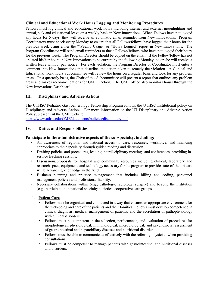#### **Clinical and Educational Work Hours Logging and Monitoring Procedures**

Fellows must log clinical and educational work hours including internal and external moonlighting and annual, sick and educational leave on a weekly basis in New Innovations. When Fellows have not logged any hours for 5 days, they will receive an automatic email reminder from New Innovations. Program Coordinators must check every Monday to ensure that all Fellows/fellows have logged their hours for the previous week using either the "Weekly Usage" or "Hours Logged" report in New Innovations. The Program Coordinator will send email reminders to those Fellows/fellows who have not logged their hours for the previous week. The Program Director should be copied on the email. If the Fellow/fellow has not updated his/her hours in New Innovations to be current by the following Monday, he or she will receive a written leave without pay notice. For each violation, the Program Director or Coordinator must enter a comment into New Innovations that describes the action taken to remedy the violation. A Clinical and Educational work hours Subcommittee will review the hours on a regular basis and look for any problem areas. On a quarterly basis, the Chair of this Subcommittee will present a report that outlines any problem areas and makes recommendations for GMEC action. The GME office also monitors hours through the New Innovations Dashboard.

#### **III. Disciplinary and Adverse Actions**

The UTHSC Pediatric Gastroenterology Fellowship Program follows the UTHSC institutional policy on Disciplinary and Adverse Actions. For more information on the UT Disciplinary and Adverse Action Policy, please visit the GME website:

https://www.uthsc.edu/GME/documents/policies/disciplinary.pdf

#### **IV. Duties and Responsibilities**

#### **Participate in the administrative aspects of the subspecialty, including:**

- An awareness of regional and national access to care, resources, workforce, and financing appropriate to their specialty through guided reading and discussion.
- Drafting policies and procedures, leading interdisciplinary meetings and conferences, providing inservice teaching sessions.
- Discussions/proposals for hospital and community resources including clinical, laboratory and research space, equipment, and technology necessary for the program to provide state-of-the-art care while advancing knowledge in the field.
- Business planning and practice management that includes billing and coding, personnel management policies and professional liability.
- Necessary collaborations within (e.g., pathology, radiology, surgery) and beyond the institution (e.g., participation in national specialty societies, cooperative care groups.

#### 1. **Patient Care**

- Fellow must be organized and conducted in a way that ensures an appropriate environment for the well-being and care of the patients and their families. Fellows must develop competence in clinical diagnosis, medical management of patients, and the correlation of pathophysiology with clinical disorders.
- Fellows must be competent in the selection, performance, and evaluation of procedures for morphological, physiological, immunological, microbiological, and psychosocial assessment of gastrointestinal and hepatobiliary diseases and nutritional disorders.
- Fellows must be able to communicate effectively with the referring physician when providing consultations.
- Fellows must be competent to manage patients with gastrointestinal and nutritional diseases and disorders: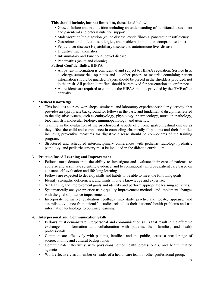#### **This should include, but not limited to, those listed below**:

- Growth failure and malnutrition including an understanding of nutritional assessment and parenteral and enteral nutrition support.
- Malabsorption/maldigestion (celiac disease, cystic fibrosis, pancreatic insufficiency
- Gastrointestinal infections, allergies, and problems in immune- compromised host
- Peptic ulcer disease) Hepatobiliary disease and autoimmune liver disease
- Digestive tract anomalies
- Inflammatory and Functional bowel disease
- Pancreatitis (acute and chronic)

#### **Patient Confidentiality/HIPPA**

- All patient information is confidential and subject to HIPAA regulation. Service lists, discharge summaries, op notes and all other papers or material containing patient information should be guarded. Papers should be placed in the shredders provided, not in the trash. All patient identifiers should be removed for presentation at conference.
- All residents are required to complete the HIPAA module provided by the GME office annually.

#### 2. **Medical Knowledge**

- This includes courses, workshops, seminars, and laboratory experience/scholarly activity, that provides an appropriate background for fellows in the basic and fundamental disciplines related to the digestive system, such as embryology, physiology, pharmacology, nutrition, pathology, biochemistry, molecular biology, immunopathology, and genetics.
- Training in the evaluation of the psychosocial aspects of chronic gastrointestinal disease as they affect the child and competence in counseling chronically ill patients and their families including preventive measures for digestive disease should be components of the training program.
- Structured and scheduled interdisciplinary conferences with pediatric radiology, pediatric pathology, and pediatric surgery must be included in the didactic curriculum.

#### 3. **Practice-Based Learning and Improvement**

- Fellows must demonstrate the ability to investigate and evaluate their care of patients, to appraise and assimilate scientific evidence, and to continuously improve patient care based on constant self-evaluation and life-long learning.
- Fellows are expected to develop skills and habits to be able to meet the following goals.
- Identify strengths, deficiencies, and limits in one's knowledge and expertise.
- Set learning and improvement goals and identify and perform appropriate learning activities.
- Systematically analyze practice using quality improvement methods and implement changes with the goal of practice improvement.
- Incorporate formative evaluation feedback into daily practice and locate, appraise, and assimilate evidence from scientific studies related to their patients' health problems and use information technology to optimize learning.

#### 4. **Interpersonal and Communication Skills**

- Fellows must demonstrate interpersonal and communication skills that result in the effective exchange of information and collaboration with patients, their families, and health professionals.
- Communicate effectively with patients, families, and the public, across a broad range of socioeconomic and cultural backgrounds
- Communicate effectively with physicians, other health professionals, and health related agencies.
- Work effectively as a member or leader of a health care team or other professional group.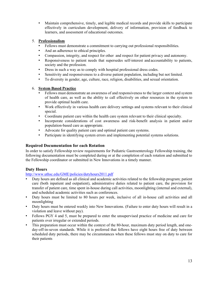• Maintain comprehensive, timely, and legible medical records and provide skills to participate effectively in curriculum development, delivery of information, provision of feedback to learners, and assessment of educational outcomes.

#### 5. **Professionalism**

- Fellows must demonstrate a commitment to carrying out professional responsibilities.
- And an adherence to ethical principles.
- Compassion, integrity, and respect for other and respect for patient privacy and autonomy.
- Responsiveness to patient needs that supersedes self-interest and accountability to patients, society and the profession.
- Dress in such a way as to comply with hospital professional dress codes.
- Sensitivity and responsiveness to a diverse patient population, including but not limited.
- To diversity in gender, age, culture, race, religion, disabilities, and sexual orientation.

#### 6. **System Based Practice**

- Fellows must demonstrate an awareness of and responsiveness to the larger context and system of health care, as well as the ability to call effectively on other resources in the system to provide optimal health care.
- Work effectively in various health care delivery settings and systems relevant to their clinical special.
- Coordinate patient care within the health care system relevant to their clinical specialty.
- Incorporate considerations of cost awareness and risk-benefit analysis in patient and/or population-based care as appropriate.
- Advocate for quality patient care and optimal patient care systems.
- Participate in identifying system errors and implementing potential systems solutions.

#### **Required Documentation for each Rotation**

In order to satisfy Fellowship review requirements for Pediatric Gastroenterology Fellowship training, the following documentation must be completed during or at the completion of each rotation and submitted to the Fellowship coordinator or submitted in New Innovations in a timely manner.

#### **Duty Hours**

#### http://www.uthsc.edu/GME/policies/dutyhours2011.pdf

- Duty hours are defined as all clinical and academic activities related to the fellowship program; patient care (both inpatient and outpatient), administrative duties related to patient care, the provision for transfer of patient care, time spent in-house during call activities, moonlighting (internal and external), and scheduled academic activities such as conferences.
- Duty hours must be limited to 80 hours per week, inclusive of all in-house call activities and all moonlighting
- Duty hours must be entered weekly into New Innovations. (Failure to enter duty hours will result in a violation and leave without pay).
- Fellows PGY 4 and 5, must be prepared to enter the unsupervised practice of medicine and care for patients over irregular or extended periods.
- This preparation must occur within the context of the 80-hour, maximum duty period length, and oneday-off-in-seven standards. While it is preferred that fellows have eight hours free of duty between scheduled duty periods, there may be circumstances when these fellows must stay on duty to care for their patients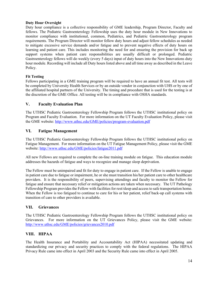#### **Duty Hour Oversight**

Duty hour compliance is a collective responsibility of GME leadership, Program Director, Faculty and fellows. The Pediatric Gastroenterology Fellowship uses the duty hour module in New Innovations to monitor compliance with institutional, common, Pediatrics, and Pediatric Gastroenterology program requirements. The Program Director will monitor fellow duty hours and adjust fellow schedules as needed to mitigate excessive service demands and/or fatigue and to prevent negative effects of duty hours on learning and patient care. This includes monitoring the need for and ensuring the provision for back up support systems when patient care responsibilities are usually difficult or prolonged. Pediatric Gastroenterology fellows will do weekly (every 5 days) input of duty hours into the New Innovations duty hour module. Recording will include all Duty hours listed above and all time away as described in the Leave Policy.

#### **Fit Testing**

Fellows participating in a GME training program will be required to have an annual fit test. All tests will be completed by University Health Services or by an outside vendor in conjunction with UHS or by one of the affiliated hospital partners of the University. The timing and procedure that is used for the testing is at the discretion of the GME Office. All testing will be in compliance with OSHA standards.

#### **V. Faculty Evaluation Plan**

The UTHSC Pediatric Gastroenterology Fellowship Program follows the UTHSC institutional policy on Program and Faculty Evaluation. For more information on the UT Faculty Evaluation Policy, please visit the GME website: http://www.uthsc.edu/GME/policies/program-evaluation.pdf

#### **VI. Fatigue Management**

The UTHSC Pediatric Gastroenterology Fellowship Program follows the UTHSC institutional policy on Fatigue Management. For more information on the UT Fatigue Management Policy, please visit the GME website: http://www.uthsc.edu/GME/policies/fatigue2011.pdf

All new Fellows are required to complete the on-line training module on fatigue. This education module addresses the hazards of fatigue and ways to recognize and manage sleep deprivation.

The Fellow must be unimpaired and fit for duty to engage in patient care. If the Fellow is unable to engage in patient care due to fatigue or impairment, he or she must transition his/her patient care to other healthcare providers. It is the responsibility of peers, supervising attendings and faculty to monitor the Fellow for fatigue and ensure that necessary relief or mitigation actions are taken when necessary. The UT Pathology Fellowship Program provides the Fellow with facilities for rest/sleep and access to safe transportation home. When the Fellow is too fatigued to continue to care for his or her patient, relief back-up call systems with transition of care to other providers is available.

#### **VII. Grievances**

The UTHSC Pediatric Gastroenterology Fellowship Program follows the UTHSC institutional policy on Grievances. For more information on the UT Grievances Policy, please visit the GME website: http://www.uthsc.edu/GME/policies/grievances2010.pdf

#### **VIII. HIPAA**

The Health Insurance and Portability and Accountability Act (HIPAA) necessitated updating and standardizing our privacy and security practices to comply with the federal regulations. The HIPAA Privacy Rule came into effect in April 2003 and the Security Rule came into effect in April 2005.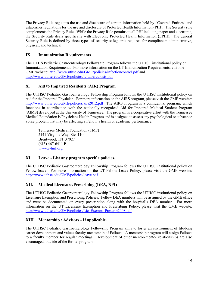The Privacy Rule regulates the use and disclosure of certain information held by "Covered Entities" and establishes regulations for the use and disclosure of Protected Health Information (PHI). The Security rule complements the Privacy Rule. While the Privacy Rule pertains to all PHI including paper and electronic, the Security Rule deals specifically with Electronic Protected Health Information (EPHI). The general Security Rule is defined by three types of security safeguards required for compliance: administrative, physical, and technical.

# **IX. Immunization Requirements**

The UTHS Pediatric Gastroenterology Fellowship Program follows the UTHSC institutional policy on Immunization Requirements. For more information on the UT Immunization Requirements, visit the GME website: http://www.uthsc.edu/GME/policies/infectioncontrol.pdf and http://www.uthsc.edu/GME/policies/ic-tuberculosis.pdf

# **X. Aid to Impaired Residents (AIR) Program**

The UTHSC Pediatric Gastroenterology Fellowship Program follows the UTHSC institutional policy on Aid for the Impaired Physician. For more information on the AIRS program, please visit the GME website: http://www.uthsc.edu/GME/policies/airs2012.pdf The AIRS Program is a confidential program, which functions in coordination with the nationally recognized Aid for Impaired Medical Student Program (AIMS) developed at the University of Tennessee. The program is a cooperative effort with the Tennessee Medical Foundation is Physicians Health Program and is designed to assess any psychological or substance abuse problem that may be affecting a Fellow's health or academic performance.

Tennessee Medical Foundation (TMF) 5141 Virginia Way, Ste. 110 Brentwood, TN 37027 (615) 467-6411 P www.e-tmf.org

#### **XI. Leave - List any program specific policies.**

The UTHSC Pediatric Gastroenterology Fellowship Program follows the UTHSC institutional policy on Fellow leave. For more information on the UT Fellow Leave Policy, please visit the GME website: http://www.uthsc.edu/GME/policies/leave.pdf

#### **XII. Medical Licensure/Prescribing (DEA, NPI)**

The UTHSC Pediatric Gastroenterology Fellowship Program follows the UTHSC institutional policy on Licensure Exemption and Prescribing Policies. Fellow DEA numbers will be assigned by the GME office and must be documented on every prescription along with the hospital's DEA number. For more information on the UT Licensure Exemption and Prescribing Policy, please visit the GME website: http://www.uthsc.edu/GME/policies/Lic\_Exempt\_Prescrip2008.pdf

#### **XIII. Mentorship / Advisors - If applicable.**

The UTHSC Pediatric Gastroenterology Fellowship Program aims to foster an environment of life-long career development and values faculty mentorship of Fellows. A mentorship program will assign Fellows to a faculty member for regular meetings. Development of other mentor-mentee relationships are also encouraged, outside of the formal program.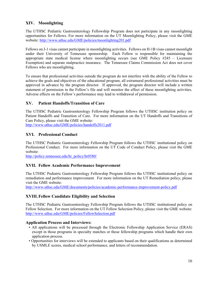# **XIV. Moonlighting**

The UTHSC Pediatric Gastroenterology Fellowship Program does not participate in any moonlighting opportunities for Fellows. For more information on the UT Moonlighting Policy, please visit the GME website: http://www.uthsc.edu/GME/policies/moonlighting201.pdf

Fellows on J-1 visas cannot participate in moonlighting activities. Fellows on H-1B visas cannot moonlight under their University of Tennessee sponsorship. Each Fellow is responsible for maintaining the appropriate state medical license where moonlighting occurs (see GME Policy  $#245 -$  Licensure Exemption) and separate malpractice insurance. The Tennessee Claims Commission Act does not cover Fellows who are moonlighting.

To ensure that professional activities outside the program do not interfere with the ability of the Fellow to achieve the goals and objectives of the educational program, all extramural professional activities must be approved in advance by the program director. If approved, the program director will include a written statement of permission in the Fellow's file and will monitor the effect of these moonlighting activities. Adverse effects on the Fellow's performance may lead to withdrawal of permission.

#### **XV. Patient Handoffs/Transition of Care**

The UTHSC Pediatric Gastroenterology Fellowship Program follows the UTHSC institution policy on Patient Handoffs and Transition of Care. For more information on the UT Handoffs and Transitions of Care Policy, please visit the GME website:

http://www.uthsc.edu/GME/policies/handoffs2011.pdf

#### **XVI. Professional Conduct**

The UTHSC Pediatric Gastroenterology Fellowship Program follows the UTHSC institutional policy on Professional Conduct. For more information on the UT Code of Conduct Policy, please visit the GME website:

http://policy.tennessee.edu/hr\_policy/hr0580/

#### **XVII. Fellow Academic Performance Improvement**

The UTHSC Pediatric Gastroenterology Fellowship Program follows the UTHSC institutional policy on remediation and performance improvement. For more information on the UT Remediation policy, please visit the GME website:

http://www.uthsc.edu/GME/documents/policies/academic-performance-improvement-policy.pdf

#### **XVIII.Fellow Candidate Eligibility and Selection**

The UTHSC Pediatric Gastroenterology Fellowship Program follows the UTHSC institutional policy on Fellow Selection. For more information on the UT Fellow Selection Policy, please visit the GME website: http://www.uthsc.edu/GME/policies/FellowSelection.pdf

#### **Application Process and Interviews:**

- All applications will be processed through the Electronic Fellowship Application Service (ERAS) except in those programs in specialty matches or those fellowship programs which handle their own application process.
- Opportunities for interviews will be extended to applicants based on their qualifications as determined by USMLE scores, medical school performance, and letters of recommendation.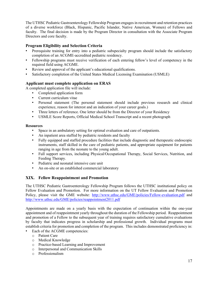The UTHSC Pediatric Gastroenterology Fellowship Program engages in recruitment and retention practices of a diverse workforce (Black, Hispanic, Pacific Islander, Native American, Women) of Fellows and faculty. The final decision is made by the Program Director in consultation with the Associate Program Directors and core faculty.

#### **Program Eligibility and Selection Criteria**

- Prerequisite training for entry into a pediatric subspecialty program should include the satisfactory completion of an ACGME-accredited pediatric residency.
- Fellowship programs must receive verification of each entering fellow's level of competency in the required field using ACGME.
- Review and approval of the applicant's educational qualifications.
- Satisfactory completion of the United States Medical Licensing Examination (USMLE)

#### **Applicant must complete application on ERAS**

A completed application file will include:

- Completed application form
- Current curriculum vitae
- Personal statement (The personal statement should include previous research and clinical experience, reason for interest and an indication of your career goals.)
- Three letters of reference. One letter should be from the Director of your Residency
- USMLE Score Reports, Official Medical School Transcript and a recent photograph

#### **Resources**

- Space in an ambulatory setting for optimal evaluation and care of outpatients.
- An inpatient area staffed by pediatric residents and faculty
- Fully equipped and staffed procedure facilities that include diagnostic and therapeutic endoscopic instruments, staff skilled in the care of pediatric patients, and appropriate equipment for patients ranging in age from the neonate to the young adult.
- Full support services, including Physical/Occupational Therapy, Social Services, Nutrition, and Feeding Therapy.
- Pediatric and neonatal intensive care unit
- An on-site or an established commercial laboratory

#### **XIX. Fellow Reappointment and Promotion**

The UTHSC Pediatric Gastroenterology Fellowship Program follows the UTHSC institutional policy on Fellow Evaluation and Promotion. For more information on the UT Fellow Evaluation and Promotion Policy, please visit the GME website: http://www.uthsc.edu/GME/policies/Fellow-evaluation.pdf and http://www.uthsc.edu/GME/policies/reappointment2011.pdf

Appointments are made on a yearly basis with the expectation of continuation within the one-year appointment and of reappointment yearly throughout the duration of the Fellowship period. Reappointment and promotion of a Fellow to the subsequent year of training requires satisfactory cumulative evaluations by faculty that indicates progress in scholarship and professional growth. Individual programs must establish criteria for promotion and completion of the program. This includes demonstrated proficiency in:

- Each of the ACGME competencies:
	- o Patient Care
	- o Medical Knowledge
	- o Practice-based Learning and Improvement
	- o Interpersonal and Communication Skills
	- o Professionalism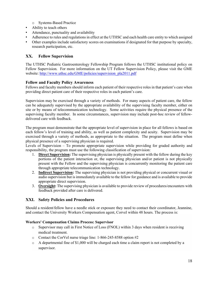- o Systems-Based Practice
- Ability to teach others
- Attendance, punctuality and availability
- Adherence to rules and regulations in effect at the UTHSC and each health care entity to which assigned
- Other examples include satisfactory scores on examinations if designated for that purpose by specialty, research participation, etc.

### **XX. Fellow Supervision**

The UTHSC Pediatric Gastroenterology Fellowship Program follows the UTHSC institutional policy on Fellow Supervision. For more information on the UT Fellow Supervision Policy, please visit the GME website: http://www.uthsc.edu/GME/policies/supervision\_pla2011.pdf

#### **Fellow and Faculty Policy Awareness**

Fellows and faculty members should inform each patient of their respective roles in that patient's care when providing direct patient care of their respective roles in each patient's care.

Supervision may be exercised through a variety of methods. For many aspects of patient care, the fellow can be adequately supervised by the appropriate availability of the supervising faculty member, either on site or by means of telecommunication technology. Some activities require the physical presence of the supervising faculty member. In some circumstances, supervision may include post-hoc review of fellowdelivered care with feedback.

The program must demonstrate that the appropriate level of supervision in place for all fellows is based on each fellow's level of training and ability, as well as patient complexity and acuity. Supervision may be exercised through a variety of methods, as appropriate to the situation. The program must define when physical presence of a supervising physician is required.

Levels of Supervision – To promote appropriate supervision while providing for graded authority and responsibility, the program must use the following classification of supervision:

- 1. **Direct Supervision:** The supervising physician is physically present with the fellow during the key portions of the patient interaction or, the supervising physician and/or patient is not physically present with the Fellow and the supervising physician is concurrently monitoring the patient care through appropriate telecommunication technology.
- 2. **Indirect Supervision:** The supervising physician is not providing physical or concurrent visual or audio supervision but is immediately available to the fellow for guidance and is available to provide appropriate direct supervision.
- 3. **Oversight:** The supervising physician is available to provide review of procedures/encounters with feedback provided after care is delivered.

#### **XXI. Safety Policies and Procedures**

Should a resident/fellow have a needle stick or exposure they need to contact their coordinator, Jeannine, and contact the University Workers Compensation agent, Corvel within 48 hours. The process is:

#### **Workers' Compensation Claims Process: Supervisor**

- o Supervisor may call in First Notice of Loss (FNOL) within 3 days when resident is receiving medical treatment.
- o Contact the CorVel nurse triage line: 1-866-245-8588 option #2
- $\circ$  A departmental fine of \$1,000 will be charged each time a claim report is not completed by a supervisor.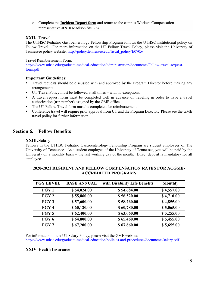o Complete the **Incident Report form** and return to the campus Workers Compensation representative at 910 Madison Ste. 764.

#### **XXII. Travel**

The UTHSC Pediatric Gastroenterology Fellowship Program follows the UTHSC institutional policy on Fellow Travel. For more information on the UT Fellow Travel Policy, please visit the University of Tennessee policy website: http://policy.tennessee.edu/fiscal\_policy/fi0705/

Travel Reimbursement Form:

https://www.uthsc.edu/graduate-medical-education/administration/documents/Fellow-travel-requestform.pdf

#### **Important Guidelines:**

- Travel requests should be discussed with and approved by the Program Director before making any arrangements.
- UT Travel Policy must be followed at all times with no exceptions.
- A travel request form must be completed well in advance of traveling in order to have a travel authorization (trip number) assigned by the GME office.
- The UT Fellow Travel form must be completed for reimbursement.
- Conference travel will require prior approval from UT and the Program Director. Please see the GME travel policy for further information.

# **Section 6. Fellow Benefits**

#### **XXIII.Salary**

Fellows in the UTHSC Pediatric Gastroenterology Fellowship Program are student employees of The University of Tennessee. As a student employee of the University of Tennessee, you will be paid by the University on a monthly basis – the last working day of the month. Direct deposit is mandatory for all employees.

| <b>PGY LEVEL</b> | <b>BASE ANNUAL</b> | with Disability Life Benefits | <b>Monthly</b> |
|------------------|--------------------|-------------------------------|----------------|
| PGY <sub>1</sub> | \$54,024.00        | \$54,684.00                   | \$4,557.00     |
| PGY <sub>2</sub> | \$55,860.00        | \$56,520.00                   | \$4,710.00     |
| PGY <sub>3</sub> | \$57,600.00        | \$58,260.00                   | \$4,855.00     |
| PGY <sub>4</sub> | \$60,120.00        | \$60,780.00                   | \$5,065.00     |
| PGY <sub>5</sub> | \$62,400.00        | \$63,060.00                   | \$5,255.00     |
| PGY <sub>6</sub> | \$64,800.00        | \$65,460.00                   | \$5,455.00     |
| PGY <sub>7</sub> | \$67,200.00        | \$67,860.00                   | \$5,655.00     |

#### **2020-2021 RESIDENT AND FELLOW COMPENSATION RATES FOR ACGME-ACCREDITED PROGRAMS**

For information on the UT Salary Policy, please visit the GME website: https://www.uthsc.edu/graduate-medical-education/policies-and-procedures/documents/salary.pdf

#### **XXIV. Health Insurance**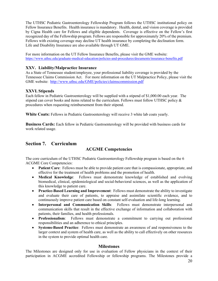The UTHSC Pediatric Gastroenterology Fellowship Program follows the UTHSC institutional policy on Fellow Insurance Benefits. Health insurance is mandatory. Health, dental, and vision coverage is provided by Cigna Health care for Fellows and eligible dependents. Coverage is effective on the Fellow's first recognized day of the Fellowship program. Fellows are responsible for approximately 20% of the premium. Fellows with existing coverage may decline UT health insurance by completing the declination form. Life and Disability Insurance are also available through UT GME.

For more information on the UT Fellow Insurance Benefits, please visit the GME website: https://www.uthsc.edu/graduate-medical-education/policies-and-procedures/documents/insurance-benefits.pdf

#### **XXV. Liability/Malpractice Insurance**

As a State of Tennessee student/employee, your professional liability coverage is provided by the Tennessee Claims Commission Act. For more information on the UT Malpractice Policy, please visit the GME website: http://www.uthsc.edu/GME/policies/claimscommission.pdf

#### **XXVI. Stipends**

Each fellow in Pediatric Gastroenterology will be supplied with a stipend of \$1,000.00 each year. The stipend can cover books and items related to the curriculum. Fellows must follow UTHSC policy  $\&$ procedures when requesting reimbursement from their stipend.

**White Coats:** Fellows in Pediatric Gastroenterology will receive 3 white lab coats yearly.

**Business Cards:** Each fellow in Pediatric Gastroenterology will be provided with business cards for work related usage.

# **Section 7. Curriculum**

# **ACGME Competencies**

The core curriculum of the UTHSC Pediatric Gastroenterology Fellowship program is based on the 6 ACGME Core Competencies:

- **Patient Care**: Fellows must be able to provide patient care that is compassionate, appropriate, and effective for the treatment of health problems and the promotion of health.
- **Medical Knowledge**: Fellows must demonstrate knowledge of established and evolving biomedical, clinical, epidemiological and social-behavioral sciences, as well as the application of this knowledge to patient care.
- **Practice-Based Learning and Improvement**: Fellows must demonstrate the ability to investigate and evaluate their care of patients, to appraise and assimilate scientific evidence, and to continuously improve patient care based on constant self-evaluation and life-long learning.
- **Interpersonal and Communication Skills**: Fellows must demonstrate interpersonal and communication skills that result in the effective exchange of information and collaboration with patients, their families, and health professionals.
- **Professionalism**: Fellows must demonstrate a commitment to carrying out professional responsibilities and an adherence to ethical principles.
- **Systems-Based Practice**: Fellows must demonstrate an awareness of and responsiveness to the larger context and system of health care, as well as the ability to call effectively on other resources in the system to provide optimal health care.

#### **Milestones**

The Milestones are designed only for use in evaluation of Fellow physicians in the context of their participation in ACGME accredited Fellowship or fellowship programs. The Milestones provide a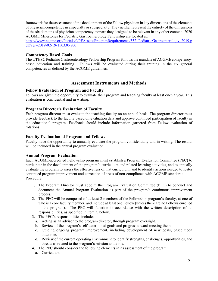framework for the assessment of the development of the Fellow physician in key dimensions of the elements of physician competency in a specialty or subspecialty. They neither represent the entirety of the dimensions of the six domains of physician competency, nor are they designed to be relevant in any other context. 2020 ACGME Milestones for Pediatric Gastroenterology Fellowship are located at:

https://www.acgme.org/Portals/0/PFAssets/ProgramRequirements/332\_PediatricGastroenterology\_2019.p df?ver=2019-02-19-150330-800

#### **Competency Based Goals**

The UTHSC Pediatric Gastroenterology Fellowship Program follows the mandate of ACGME competencybased education and training. Fellows will be evaluated during their training in the six general competencies as defined by the ACGME guidelines.

#### **Assessment Instruments and Methods**

#### **Fellow Evaluation of Program and Faculty**

Fellows are given the opportunity to evaluate their program and teaching faculty at least once a year. This evaluation is confidential and in writing.

#### **Program Director's Evaluation of Faculty**

Each program director must evaluate the teaching faculty on an annual basis. The program director must provide feedback to the faculty based on evaluation data and approve continued participation of faculty in the educational program. Feedback should include information garnered from Fellow evaluation of rotations.

#### **Faculty Evaluation of Program and Fellows**

Faculty have the opportunity to annually evaluate the program confidentially and in writing. The results will be included in the annual program evaluation.

#### **Annual Program Evaluation**

Each ACGME-accredited Fellowship program must establish a Program Evaluation Committee (PEC) to participate in the development of the program's curriculum and related learning activities, and to annually evaluate the program to assess the effectiveness of that curriculum, and to identify actions needed to foster continued program improvement and correction of areas of non-compliance with ACGME standards. Procedure:

- 1. The Program Director must appoint the Program Evaluation Committee (PEC) to conduct and document the Annual Program Evaluation as part of the program's continuous improvement process.
- 2. The PEC will be composed of at least 2 members of the Fellowship program's faculty, at one of who is a core faculty member, and include at least one Fellow (unless there are no Fellows enrolled in the program). The PEC will function in accordance with the written description of its responsibilities, as specified in item 3, below.
- 3. The PEC's responsibilities include:
	- a. Acting as an advisor to the program director, through program oversight.
	- b. Review of the program's self-determined goals and progress toward meeting them.
	- c. Guiding ongoing program improvement, including development of new goals, based upon outcomes.
	- d. Review of the current operating environment to identify strengths, challenges, opportunities, and threats as related to the program's mission and aims.
- 4. The PEC should consider the following elements in its assessment of the program:
	- a. Curriculum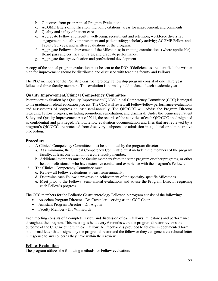- b. Outcomes from prior Annual Program Evaluations
- c. ACGME letters of notification, including citations, areas for improvement, and comments
- d. Quality and safety of patient care
- e. Aggregate Fellow and faculty: well-being; recruitment and retention; workforce diversity; engagement in quality improvement and patient safety; scholarly activity; ACGME Fellow and Faculty Surveys; and written evaluations of the program.
- f. Aggregate Fellow: achievement of the Milestones; in-training examinations (where applicable); Board pass and certification rates; and graduate performance.
- g. Aggregate faculty: evaluation and professional development

A copy of the annual program evaluation must be sent to the DIO. If deficiencies are identified, the written plan for improvement should be distributed and discussed with teaching faculty and Fellows.

The PEC members for the Pediatric Gastroenterology Fellowship program consist of one Third year fellow and three faculty members. This evolution is normally held in June of each academic year.

#### **Quality Improvement/Clinical Competency Committee**

Peer review evaluation by a Quality Improvement (QIC)/Clinical Competency Committee (CCC) is integral to the graduate medical education process. The CCC will review all Fellow/fellow performance evaluations and assessments of progress at least semi-annually. The QIC/CCC will advise the Program Director regarding Fellow progress, including promotion, remediation, and dismissal. Under the Tennessee Patient Safety and Quality Improvement Act of 2011, the records of the activities of each QIC/CCC are designated as confidential and privileged. Fellow/fellow evaluation documentation and files that are reviewed by a program's QIC/CCC are protected from discovery, subpoena or admission in a judicial or administrative proceeding.

#### **Procedure**

- 1. A Clinical Competency Committee must be appointed by the program director.
	- a. At a minimum, the Clinical Competency Committee must include three members of the program faculty, at least one of whom is a core faculty member.
	- b. Additional members must be faculty members from the same program or other programs, or other health professionals who have extensive contact and experience with the program's Fellows.
- 2. The Clinical Competency Committee must:
	- c. Review all Fellow evaluations at least semi-annually.
	- d. Determine each Fellow's progress on achievement of the specialty-specific Milestones.
	- e. Meet prior to the Fellows' semi-annual evaluations and advise the Program Director regarding each Fellow's progress.

The CCC members for the Pediatric Gastroenterology Fellowship program consist of the following:

- Associate Program Director Dr. Cavender serving as the CCC Chair
- Assistant Program Director Dr. Algotar
- Faculty Member Dr. Whitworth

Each meeting consists of a complete review and discussion of each fellows' milestones and performance throughout the program. This meeting is held every 6 months were the program director reviews the outcome of the CCC meeting with each fellow. All feedback is provided to fellows in documented form in a formal letter that is signed by the program director and the fellow or they can generate a rebuttal letter in response to any concerns they have within their review

#### **Fellow Evaluation**

The program utilizes the following methods for Fellow evaluation: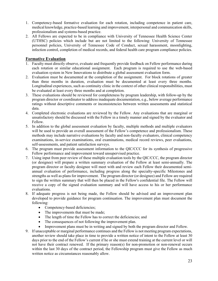- 1. Competency-based formative evaluation for each rotation, including competence in patient care, medical knowledge, practice-based learning and improvement, interpersonal and communication skills, professionalism and systems-based practice.
- 2. All Fellows are expected to be in compliance with University of Tennessee Health Science Center (UTHSC) policies which include but are not limited to the following: University of Tennessee personnel policies, University of Tennessee Code of Conduct, sexual harassment, moonlighting, infection control, completion of medical records, and federal health care program compliance policies.

#### **Formative Evaluation**

- 1. Faculty must directly observe, evaluate and frequently provide feedback on Fellow performance during each rotation or similar educational assignment. Each program is required to use the web-based evaluation system in New Innovations to distribute a global assessment evaluation form.
- 2. Evaluation must be documented at the completion of the assignment. For block rotations of greater than three months in duration, evaluation must be documented at least every three months. Longitudinal experiences, such as continuity clinic in the context of other clinical responsibilities, must be evaluated at least every three months and at completion.
- 3. These evaluations should be reviewed for completeness by program leadership, with follow-up by the program director or coordinator to address inadequate documentation, e.g., below average performance ratings without descriptive comments or inconsistencies between written assessments and statistical data.
- 4. Completed electronic evaluations are reviewed by the Fellow. Any evaluations that are marginal or unsatisfactory should be discussed with the Fellow in a timely manner and signed by the evaluator and Fellow.
- 5. In addition to the global assessment evaluation by faculty, multiple methods and multiple evaluators will be used to provide an overall assessment of the Fellow's competence and professionalism. These methods may include narrative evaluations by faculty and non-faculty evaluators, clinical competency examinations, in-service examinations, oral examinations, medical record reviews, peer evaluations, self-assessments, and patient satisfaction surveys.
- 6. The program must provide assessment information to the QIC/CCC for its synthesis of progressive Fellow performance and improvement toward unsupervised practice.
- 7. Using input from peer review of these multiple evaluation tools by the QIC/CCC, the program director (or designee) will prepare a written summary evaluation of the Fellow at least semi-annually. The program director or faculty designee will meet with and review each Fellow their documented semiannual evaluation of performance, including progress along the specialty-specific Milestones and strengths as well as plans for improvement. The program director (or designee) and Fellow are required to sign the written summary that will then be placed in the Fellow's confidential file. The Fellow will receive a copy of the signed evaluation summary and will have access to his or her performance evaluations.
- 8. If adequate progress is not being made, the Fellow should be advised and an improvement plan developed to provide guidance for program continuation. The improvement plan must document the following:
	- Competency-based deficiencies;
	- The improvements that must be made;
	- The length of time the Fellow has to correct the deficiencies; and
	- The consequences of not following the improvement plan.
	- Improvement plans must be in writing and signed by both the program director and Fellow.
- 9. If unacceptable or marginal performance continues and the Fellow is not meeting program expectations, another review should take place in time to provide a written notice of intent to the Fellow at least 30 days prior to the end of the Fellow's current if he or she must extend training at the current level or will not have their contract renewed. If the primary reason(s) for non-promotion or non-renewal occurs within the last 30 days of the contract period, the Fellowship program must give the Fellow as much written notice as circumstances reasonably allow.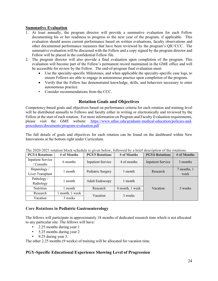#### **Summative Evaluation**

- 1. At least annually, the program director will provide a summative evaluation for each Fellow documenting his or her readiness to progress to the next year of the program, if applicable. This evaluation should assess current performance based on written evaluations, faculty observations and other documented performance measures that have been reviewed by the program's QIC/CCC. The summative evaluation will be discussed with the Fellow and a copy signed by the program director and Fellow will be placed in the confidential Fellow file.
- 2. The program director will also provide a final evaluation upon completion of the program. This evaluation will become part of the Fellow's permanent record maintained in the GME office and will be accessible for review by the Fellow. The end-of-program final evaluation must:
	- Use the specialty-specific Milestones, and when applicable the specialty-specific case logs, to ensure Fellows are able to engage in autonomous practice upon completion of the program.
	- Verify that the Fellow has demonstrated knowledge, skills, and behaviors necessary to enter autonomous practice.
	- Consider recommendations from the CCC.

# **Rotation Goals and Objectives**

Competency-based goals and objectives based on performance criteria for each rotation and training level will be distributed annually to Fellows and faculty either in writing or electronically and reviewed by the Fellow at the start of each rotation. For more information on Program and Faculty Evaluation requirements, please visit the GME website: https://www.uthsc.edu/graduate-medical-education/policies-andprocedures/documents/program-evaluation.pdf

The full details of goals and objectives for each rotation can be found on the dashboard within New Innovations at the bottom right under Curriculum.

| <b>PGY4 Rotations</b>                  | # of Months   | <b>PGY5 Rotations</b>    | # of Months     | <b>PGY6 Rotations</b>    | # of Months         |
|----------------------------------------|---------------|--------------------------|-----------------|--------------------------|---------------------|
| <b>Inpatient Service</b><br>' Consults | 6 months      | <b>Inpatient Service</b> | 4 of months     | <b>Inpatient Service</b> | 3 months            |
| Hepatology /<br>Liver Transplant       | l month       | Pediatric Surgery        | 1 month         | Research                 | 7 months, 1<br>week |
| Pathology/<br>Radiology                | l month       | <b>Adult Endoscopy</b>   | 1 month         |                          |                     |
| Nutrition                              | month         | Research                 | 4 month, 1 week | Vacation                 | 3 weeks             |
| Research                               | month, 1 week | Vacation                 | 3 weeks         |                          |                     |
| Vacation                               | 3 weeks       |                          |                 |                          |                     |

The 2020-2021 rotation block schedule is given below, followed by a brief description of the rotations.

#### **Core Rotations in Pediatric Gastroenterology**

The fellows will participate in approximately 18 months of dedicated research time which is not allocated to any particular site. The fellows will have:

- 2.25 months during year 1
- 5.25 months during year 2
- 9.25 during year 3.

The other 2.25 months (9 weeks) of training will be allocated for vacation time.

#### **PGY-Specific Educational Experience Showing Level of Progression**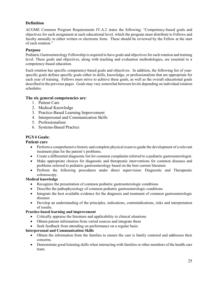## **Definition**

ACGME Common Program Requirements IV.A.2 states the following: "Competency-based goals and objectives for each assignment at each educational level, which the program must distribute to Fellows and faculty annually in either written or electronic form. These should be reviewed by the Fellow at the start of each rotation."

#### **Purpose**

Pediatric Gastroenterology Fellowship is required to have goals and objectives for each rotation and training level. These goals and objectives, along with teaching and evaluation methodologies, are essential to a competency-based education.

Each rotation has specific competency-based goals and objectives. In addition, the following list of yearspecific goals defines specific goals either in skills, knowledge, or professionalism that are appropriate for each year of training. Fellows must strive to achieve these goals, as well as the overall educational goals described in the previous pages. Goals may vary somewhat between levels depending on individual rotation schedules.

#### **The six general competencies are**:

- 1. Patient Care
- 2. Medical Knowledge
- 3. Practice-Based Learning Improvement
- 4. Interpersonal and Communication Skills
- 5. Professionalism
- 6. Systems-Based Practice

#### **PGY4 Goals:**

#### **Patient care**

- Perform a comprehensive history and complete physical exam to guide the development of a relevant treatment plan for the patient's problems.
- Create a differential diagnostic list for common complaints referred to a pediatric gastroenterologist.
- Make appropriate choices for diagnostic and therapeutic interventions for common diseases and problems referred to pediatric gastroenterology based on the best current literature
- Perform the following procedures under direct supervision: Diagnostic and Therapeutic colonoscopy.

#### **Medical knowledge**

- Recognize the presentation of common pediatric gastroenterologic conditions
- Describe the pathophysiology of common pediatric gastroenterologic conditions
- Integrate the best available evidence for the diagnosis and treatment of common gastroenterologic diseases
- Develop an understanding of the principles, indications, contraindications, risks and interpretation of results.

#### **Practice-based learning and improvement**

- Critically appraise the literature and applicability to clinical situations
- Obtain patient information from varied sources and integrate them
- Seek feedback from attending on performance on a regular basis

#### **Interpersonal and Communication Skills**

- Obtain the information from the families to ensure the care is family centered and addresses their concerns.
- Demonstrate good listening skills when interacting with families or other members of the health care team.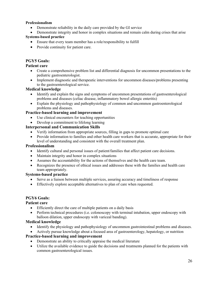#### **Professionalism**

- Demonstrate reliability in the daily care provided by the GI service
- Demonstrate integrity and honor in complex situations and remain calm during crises that arise

#### **Systems-based practice**

- Ensure that every team member has a role/responsibility to fulfill
- Provide continuity for patient care.

### **PGY5 Goals:**

#### **Patient care**

- Create a comprehensive problem list and differential diagnosis for uncommon presentations to the pediatric gastroenterologist.
- Implement diagnostic and therapeutic interventions for uncommon diseases/problems presenting to the gastroenterological service.

#### **Medical knowledge**

- Identify and explain the signs and symptoms of uncommon presentations of gastroenterological problems and diseases (celiac disease, inflammatory bowel allergic enteritis)
- Explain the physiology and pathophysiology of common and uncommon gastroenterological problems and diseases.

#### **Practice-based learning and improvement**

- Use clinical encounters for teaching opportunities
- Develop a commitment to lifelong learning

#### **Interpersonal and Communication Skills**

- Verify information from appropriate sources, filling in gaps to promote optimal care
- Provide information to families and other health care workers that is accurate, appropriate for their level of understanding and consistent with the overall treatment plan.

#### **Professionalism**

- Identify cultural and personal issues of patient/families that affect patient care decisions.
- Maintain integrity and honor in complex situations
- Assumes the accountability for the actions of themselves and the health care team.
- Recognizes the presence of ethical issues and addresses these with the families and health care team appropriately.

#### **Systems-based practice**

- Serve as a liaison between multiple services, assuring accuracy and timeliness of response
- Effectively explore acceptable alternatives to plan of care when requested.

#### **PGY6 Goals:**

#### **Patient care**

- Efficiently direct the care of multiple patients on a daily basis
- Perform technical procedures (i.e. colonoscopy with terminal intubation, upper endoscopy with balloon dilation, upper endoscopy with variceal banding).

#### **Medical knowledge**

- Identify the physiology and pathophysiology of uncommon gastrointestinal problems and diseases.
- Actively pursue knowledge about a focused area of gastroenterology, hepatology, or nutrition

#### **Practice-based learning and improvement**

- Demonstrate an ability to critically appraise the medical literature
- Utilize the available evidence to guide the decisions and treatments planned for the patients with common gastroenterological issues.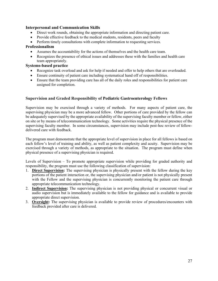#### **Interpersonal and Communication Skills**

- Direct work rounds, obtaining the appropriate information and directing patient care.
- Provide effective feedback to the medical students, residents, peers and faculty
- Perform timely consultations with complete information to requesting services.

#### **Professionalism**

- Assumes the accountability for the actions of themselves and the health care team.
- Recognizes the presence of ethical issues and addresses these with the families and health care team appropriately.

#### **Systems-based practice**

- Recognize task overload and ask for help if needed and offer to help others that are overloaded.
- Ensure continuity of patient care including systematical hand off of responsibilities.
- Ensure that the team providing care has all of the daily roles and responsibilities for patient care assigned for completion.

#### **Supervision and Graded Responsibility of Pediatric Gastroenterology Fellows**

Supervision may be exercised through a variety of methods. For many aspects of patient care, the supervising physician may be a more advanced fellow. Other portions of care provided by the fellow can be adequately supervised by the appropriate availability of the supervising faculty member or fellow, either on site or by means of telecommunication technology. Some activities require the physical presence of the supervising faculty member. In some circumstances, supervision may include post-hoc review of fellowdelivered care with feedback.

The program must demonstrate that the appropriate level of supervision in place for all fellows is based on each fellow's level of training and ability, as well as patient complexity and acuity. Supervision may be exercised through a variety of methods, as appropriate to the situation. The program must define when physical presence of a supervising physician is required.

Levels of Supervision – To promote appropriate supervision while providing for graded authority and responsibility, the program must use the following classification of supervision:

- 1. **Direct Supervision:** The supervising physician is physically present with the fellow during the key portions of the patient interaction or, the supervising physician and/or patient is not physically present with the Fellow and the supervising physician is concurrently monitoring the patient care through appropriate telecommunication technology.
- 2. **Indirect Supervision:** The supervising physician is not providing physical or concurrent visual or audio supervision but is immediately available to the fellow for guidance and is available to provide appropriate direct supervision.
- 3. **Oversight:** The supervising physician is available to provide review of procedures/encounters with feedback provided after care is delivered.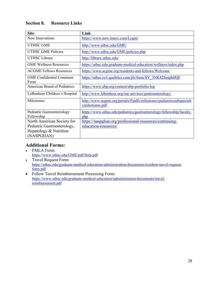| <b>Site</b>                              | Link                                                                                    |
|------------------------------------------|-----------------------------------------------------------------------------------------|
| New Innovations                          | https://www.new-innov.com/Login/                                                        |
| <b>UTHSC GME</b>                         | http://www.uthsc.edu/GME/                                                               |
| <b>UTHSC GME Policies</b>                | http://www.uthsc.edu/GME/policies.php                                                   |
| <b>UTHSC</b> Library                     | http://library.uthsc.edu/                                                               |
| <b>GME Wellness Resources</b>            | https://uthsc.edu/graduate-medical-education/wellness/index.php                         |
| <b>ACGME Fellows Resources</b>           | https://www.acgme.org/residents-and-fellows/Welcome                                     |
| <b>GME</b> Confidential Comment<br>Form  | https://uthsc.co1.qualtrics.com/jfe/form/SV 3NK42JioqthlfQF                             |
| <b>American Board of Pediatrics</b>      | https://www.abp.org/content/abp-portfolio-log                                           |
| LeBonheur Children's Hospital            | http://www.lebonheur.org/our-services/gastroenterology/                                 |
| Milestones                               | http://www.acgme.org/portals/0/pdfs/milestones/pediatricssubspecialt<br>ymilestones.pdf |
| Pediatric Gastroenterology<br>Fellowship | https://www.uthsc.edu/pediatrics/gastroenterology/fellowship/faculty.<br>php            |
| North American Society for               | https://naspghan.org/professional-resources/continuing-                                 |
| Pediatric Gastroenterology,              | education-resources/                                                                    |
| Hepatology & Nutrition                   |                                                                                         |
| (NASPGHAN)                               |                                                                                         |

# **Additional Forms:**

- FMLA Form: https://www.uthsc.edu/GME/pdf/fmla.pdf
- Travel Request Form: https://uthsc.edu/graduate-medical-education/administration/documents/resident-travel-requestform.pdf
- Fellow Travel Reimbursement Processing Form: https://www.uthsc.edu/graduate-medical-education/administration/documents/travelreimbursement.pdf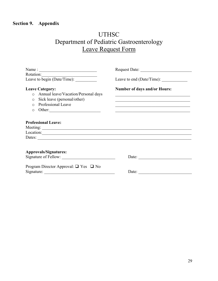# **Section 9. Appendix**

# UTHSC Department of Pediatric Gastroenterology Leave Request Form

| Name:<br>Rotation:<br>Leave to begin (Date/Time):                                                                                                                 | Request Date:                                                                                                                                                |
|-------------------------------------------------------------------------------------------------------------------------------------------------------------------|--------------------------------------------------------------------------------------------------------------------------------------------------------------|
|                                                                                                                                                                   | Leave to end (Date/Time):                                                                                                                                    |
| <b>Leave Category:</b><br>o Annual leave/Vacation/Personal days<br>Sick leave (personal/other)<br>$\circ$<br>Professional Leave<br>$\bigcap$<br>Other:<br>$\circ$ | <b>Number of days and/or Hours:</b><br><u> 1989 - Johann Stoff, deutscher Stoff, der Stoff, der Stoff, der Stoff, der Stoff, der Stoff, der Stoff, der S</u> |
| <b>Professional Leave:</b><br>Location:                                                                                                                           |                                                                                                                                                              |
| <b>Approvals/Signatures:</b><br>Signature of Fellow:                                                                                                              | Date:                                                                                                                                                        |
| Program Director Approval: $\Box$ Yes $\Box$ No<br>Signature:                                                                                                     | Date:                                                                                                                                                        |